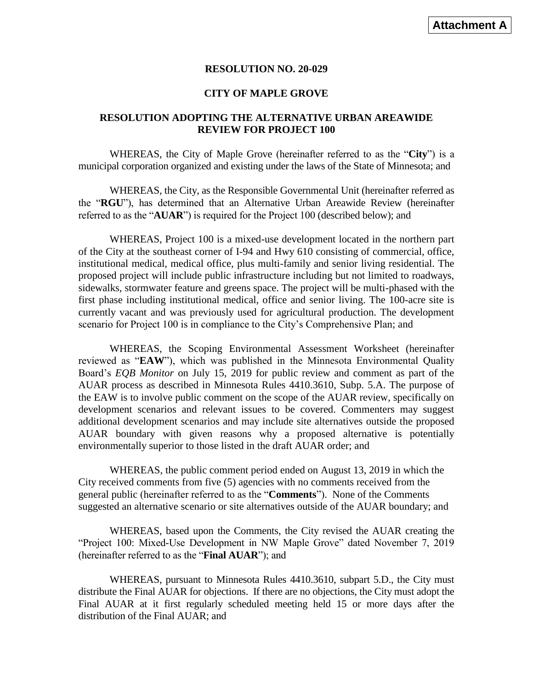## **RESOLUTION NO. 20-029**

## **CITY OF MAPLE GROVE**

## **RESOLUTION ADOPTING THE ALTERNATIVE URBAN AREAWIDE REVIEW FOR PROJECT 100**

WHEREAS, the City of Maple Grove (hereinafter referred to as the "**City**") is a municipal corporation organized and existing under the laws of the State of Minnesota; and

WHEREAS, the City, as the Responsible Governmental Unit (hereinafter referred as the "**RGU**"), has determined that an Alternative Urban Areawide Review (hereinafter referred to as the "**AUAR**") is required for the Project 100 (described below); and

WHEREAS, Project 100 is a mixed-use development located in the northern part of the City at the southeast corner of I-94 and Hwy 610 consisting of commercial, office, institutional medical, medical office, plus multi-family and senior living residential. The proposed project will include public infrastructure including but not limited to roadways, sidewalks, stormwater feature and greens space. The project will be multi-phased with the first phase including institutional medical, office and senior living. The 100-acre site is currently vacant and was previously used for agricultural production. The development scenario for Project 100 is in compliance to the City's Comprehensive Plan; and

WHEREAS, the Scoping Environmental Assessment Worksheet (hereinafter reviewed as "**EAW**"), which was published in the Minnesota Environmental Quality Board's *EQB Monitor* on July 15, 2019 for public review and comment as part of the AUAR process as described in Minnesota Rules 4410.3610, Subp. 5.A. The purpose of the EAW is to involve public comment on the scope of the AUAR review, specifically on development scenarios and relevant issues to be covered. Commenters may suggest additional development scenarios and may include site alternatives outside the proposed AUAR boundary with given reasons why a proposed alternative is potentially environmentally superior to those listed in the draft AUAR order; and

WHEREAS, the public comment period ended on August 13, 2019 in which the City received comments from five (5) agencies with no comments received from the general public (hereinafter referred to as the "**Comments**"). None of the Comments suggested an alternative scenario or site alternatives outside of the AUAR boundary; and

WHEREAS, based upon the Comments, the City revised the AUAR creating the "Project 100: Mixed-Use Development in NW Maple Grove" dated November 7, 2019 (hereinafter referred to as the "**Final AUAR**"); and

WHEREAS, pursuant to Minnesota Rules 4410.3610, subpart 5.D., the City must distribute the Final AUAR for objections. If there are no objections, the City must adopt the Final AUAR at it first regularly scheduled meeting held 15 or more days after the distribution of the Final AUAR; and